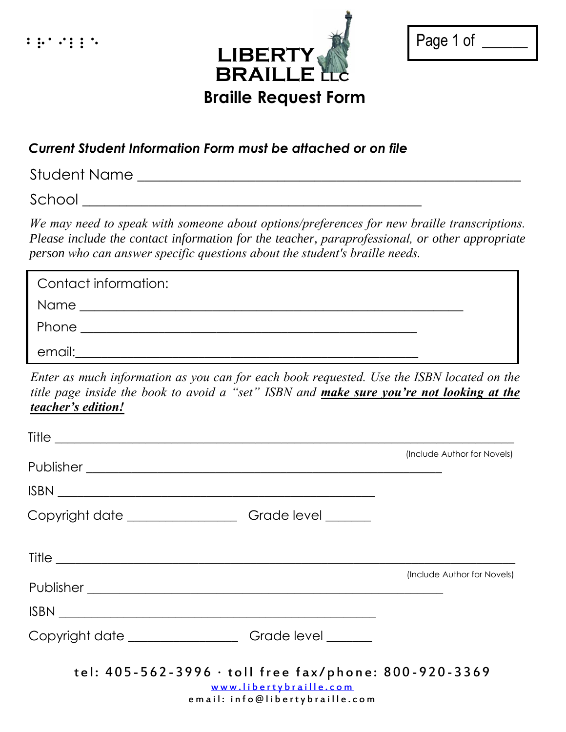

| Page 1 of |  |
|-----------|--|
|           |  |

## *Current Student Information Form must be attached or on file*

Student Name \_\_\_\_\_\_\_\_\_\_\_\_\_\_\_\_\_\_\_\_\_\_\_\_\_\_\_\_\_\_\_\_\_\_\_\_\_\_\_\_\_\_\_\_\_\_\_\_\_\_\_\_

School \_\_\_\_\_\_\_\_\_\_\_\_\_\_\_\_\_\_\_\_\_\_\_\_\_\_\_\_\_\_\_\_\_\_\_\_\_\_\_\_\_\_\_\_\_\_

*We may need to speak with someone about options/preferences for new braille transcriptions. Please include the contact information for the teacher, paraprofessional, or other appropriate person who can answer specific questions about the student's braille needs.* 

| Contact information:                                            |  |
|-----------------------------------------------------------------|--|
| Name<br><u> 1989 - Johann Stein, fransk politiker (d. 1989)</u> |  |
| Phone                                                           |  |
| email:                                                          |  |

*Enter as much information as you can for each book requested. Use the ISBN located on the title page inside the book to avoid a "set" ISBN and make sure you're not looking at the teacher's edition!* 

|                                                                                                                   | (Include Author for Novels) |
|-------------------------------------------------------------------------------------------------------------------|-----------------------------|
|                                                                                                                   |                             |
| Copyright date _________________________Grade level _________                                                     |                             |
|                                                                                                                   |                             |
|                                                                                                                   | (Include Author for Novels) |
|                                                                                                                   |                             |
| Copyright date ________________________Grade level ________                                                       |                             |
| tel: 405-562-3996 · toll free fax/phone: 800-920-3369<br>www.libertybraille.com<br>email: info@libertybraille.com |                             |